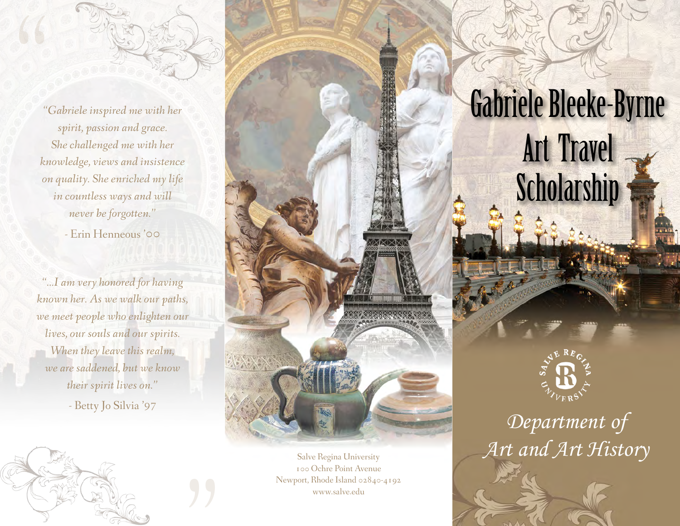

*"Gabriele inspired me with her spirit, passion and grace. She challenged me with her knowledge, views and insistence on quality. She enriched my life in countless ways and will never be forgotten."* 

- Erin Henneous '00

*"...I am very honored for having known her. As we walk our paths, we meet people who enlighten our lives, our souls and our spirits. When they leave this realm, we are saddened, but we know their spirit lives on."*

- Betty Jo Silvia '97

(WE GO ) )





*Department of*  Salve Regina University *Art and Art History* 

100 Ochre Point Avenue Newport, Rhode Island 02840-4192 www.salve.edu

XIXIXIX